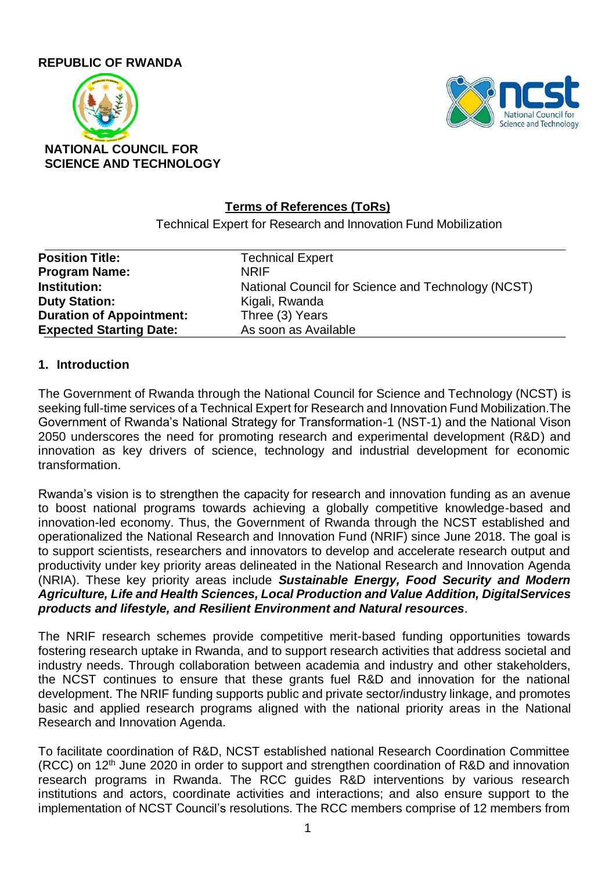### **REPUBLIC OF RWANDA**





### **Terms of References (ToRs)**

Technical Expert for Research and Innovation Fund Mobilization

| <b>Position Title:</b>          | <b>Technical Expert</b>                            |
|---------------------------------|----------------------------------------------------|
| <b>Program Name:</b>            | <b>NRIF</b>                                        |
| <b>Institution:</b>             | National Council for Science and Technology (NCST) |
| <b>Duty Station:</b>            | Kigali, Rwanda                                     |
| <b>Duration of Appointment:</b> | Three (3) Years                                    |
| <b>Expected Starting Date:</b>  | As soon as Available                               |

#### **1. Introduction**

The Government of Rwanda through the National Council for Science and Technology (NCST) is seeking full-time services of a Technical Expert for Research and Innovation Fund Mobilization.The Government of Rwanda's National Strategy for Transformation-1 (NST-1) and the National Vison 2050 underscores the need for promoting research and experimental development (R&D) and innovation as key drivers of science, technology and industrial development for economic transformation.

Rwanda's vision is to strengthen the capacity for research and innovation funding as an avenue to boost national programs towards achieving a globally competitive knowledge-based and innovation-led economy. Thus, the Government of Rwanda through the NCST established and operationalized the National Research and Innovation Fund (NRIF) since June 2018. The goal is to support scientists, researchers and innovators to develop and accelerate research output and productivity under key priority areas delineated in the National Research and Innovation Agenda (NRIA). These key priority areas include *Sustainable Energy, Food Security and Modern Agriculture, Life and Health Sciences, Local Production and Value Addition, DigitalServices products and lifestyle, and Resilient Environment and Natural resources*.

The NRIF research schemes provide competitive merit-based funding opportunities towards fostering research uptake in Rwanda, and to support research activities that address societal and industry needs. Through collaboration between academia and industry and other stakeholders, the NCST continues to ensure that these grants fuel R&D and innovation for the national development. The NRIF funding supports public and private sector/industry linkage, and promotes basic and applied research programs aligned with the national priority areas in the National Research and Innovation Agenda.

To facilitate coordination of R&D, NCST established national Research Coordination Committee  $(RCC)$  on 12<sup>th</sup> June 2020 in order to support and strengthen coordination of R&D and innovation research programs in Rwanda. The RCC guides R&D interventions by various research institutions and actors, coordinate activities and interactions; and also ensure support to the implementation of NCST Council's resolutions. The RCC members comprise of 12 members from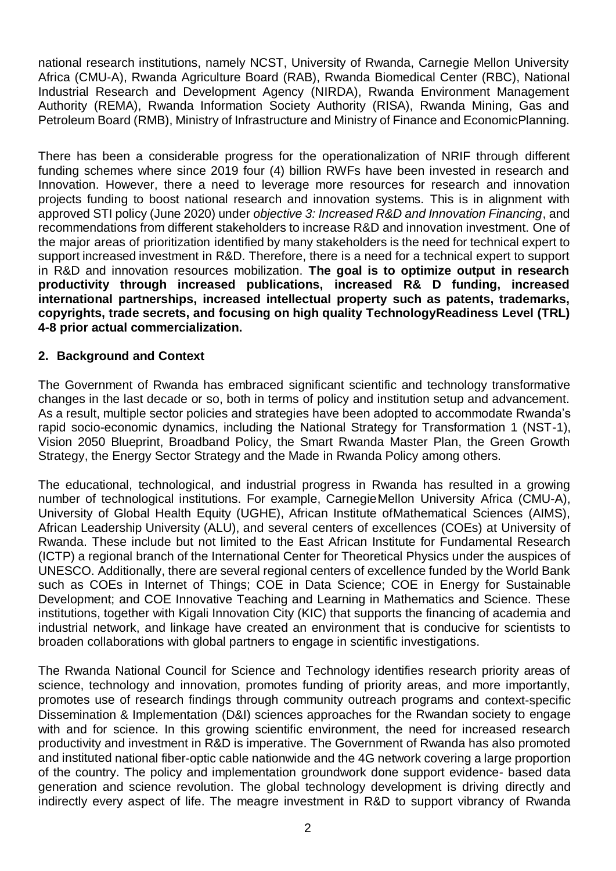national research institutions, namely NCST, University of Rwanda, Carnegie Mellon University Africa (CMU-A), Rwanda Agriculture Board (RAB), Rwanda Biomedical Center (RBC), National Industrial Research and Development Agency (NIRDA), Rwanda Environment Management Authority (REMA), Rwanda Information Society Authority (RISA), Rwanda Mining, Gas and Petroleum Board (RMB), Ministry of Infrastructure and Ministry of Finance and EconomicPlanning.

There has been a considerable progress for the operationalization of NRIF through different funding schemes where since 2019 four (4) billion RWFs have been invested in research and Innovation. However, there a need to leverage more resources for research and innovation projects funding to boost national research and innovation systems. This is in alignment with approved STI policy (June 2020) under *objective 3: Increased R&D and Innovation Financing*, and recommendations from different stakeholders to increase R&D and innovation investment. One of the major areas of prioritization identified by many stakeholders is the need for technical expert to support increased investment in R&D. Therefore, there is a need for a technical expert to support in R&D and innovation resources mobilization. **The goal is to optimize output in research productivity through increased publications, increased R& D funding, increased international partnerships, increased intellectual property such as patents, trademarks, copyrights, trade secrets, and focusing on high quality TechnologyReadiness Level (TRL) 4-8 prior actual commercialization.**

### **2. Background and Context**

The Government of Rwanda has embraced significant scientific and technology transformative changes in the last decade or so, both in terms of policy and institution setup and advancement. As a result, multiple sector policies and strategies have been adopted to accommodate Rwanda's rapid socio-economic dynamics, including the National Strategy for Transformation 1 (NST-1), Vision 2050 Blueprint, Broadband Policy, the Smart Rwanda Master Plan, the Green Growth Strategy, the Energy Sector Strategy and the Made in Rwanda Policy among others.

The educational, technological, and industrial progress in Rwanda has resulted in a growing number of technological institutions. For example, CarnegieMellon University Africa (CMU-A), University of Global Health Equity (UGHE), African Institute ofMathematical Sciences (AIMS), African Leadership University (ALU), and several centers of excellences (COEs) at University of Rwanda. These include but not limited to the East African Institute for Fundamental Research (ICTP) a regional branch of the International Center for Theoretical Physics under the auspices of UNESCO. Additionally, there are several regional centers of excellence funded by the World Bank such as COEs in Internet of Things; COE in Data Science; COE in Energy for Sustainable Development; and COE Innovative Teaching and Learning in Mathematics and Science. These institutions, together with Kigali Innovation City (KIC) that supports the financing of academia and industrial network, and linkage have created an environment that is conducive for scientists to broaden collaborations with global partners to engage in scientific investigations.

The Rwanda National Council for Science and Technology identifies research priority areas of science, technology and innovation, promotes funding of priority areas, and more importantly, promotes use of research findings through community outreach programs and context-specific Dissemination & Implementation (D&I) sciences approaches for the Rwandan society to engage with and for science. In this growing scientific environment, the need for increased research productivity and investment in R&D is imperative. The Government of Rwanda has also promoted and instituted national fiber-optic cable nationwide and the 4G network covering a large proportion of the country. The policy and implementation groundwork done support evidence- based data generation and science revolution. The global technology development is driving directly and indirectly every aspect of life. The meagre investment in R&D to support vibrancy of Rwanda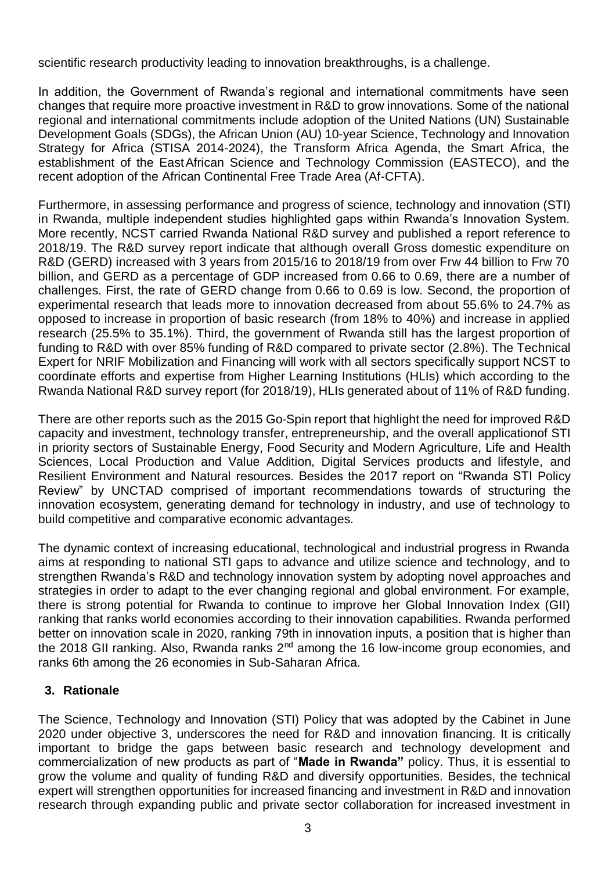scientific research productivity leading to innovation breakthroughs, is a challenge.

In addition, the Government of Rwanda's regional and international commitments have seen changes that require more proactive investment in R&D to grow innovations. Some of the national regional and international commitments include adoption of the United Nations (UN) Sustainable Development Goals (SDGs), the African Union (AU) 10-year Science, Technology and Innovation Strategy for Africa (STISA 2014-2024), the Transform Africa Agenda, the Smart Africa, the establishment of the EastAfrican Science and Technology Commission (EASTECO), and the recent adoption of the African Continental Free Trade Area (Af-CFTA).

Furthermore, in assessing performance and progress of science, technology and innovation (STI) in Rwanda, multiple independent studies highlighted gaps within Rwanda's Innovation System. More recently, NCST carried Rwanda National R&D survey and published a report reference to 2018/19. The R&D survey report indicate that although overall Gross domestic expenditure on R&D (GERD) increased with 3 years from 2015/16 to 2018/19 from over Frw 44 billion to Frw 70 billion, and GERD as a percentage of GDP increased from 0.66 to 0.69, there are a number of challenges. First, the rate of GERD change from 0.66 to 0.69 is low. Second, the proportion of experimental research that leads more to innovation decreased from about 55.6% to 24.7% as opposed to increase in proportion of basic research (from 18% to 40%) and increase in applied research (25.5% to 35.1%). Third, the government of Rwanda still has the largest proportion of funding to R&D with over 85% funding of R&D compared to private sector (2.8%). The Technical Expert for NRIF Mobilization and Financing will work with all sectors specifically support NCST to coordinate efforts and expertise from Higher Learning Institutions (HLIs) which according to the Rwanda National R&D survey report (for 2018/19), HLIs generated about of 11% of R&D funding.

There are other reports such as the 2015 Go-Spin report that highlight the need for improved R&D capacity and investment, technology transfer, entrepreneurship, and the overall applicationof STI in priority sectors of Sustainable Energy, Food Security and Modern Agriculture, Life and Health Sciences, Local Production and Value Addition, Digital Services products and lifestyle, and Resilient Environment and Natural resources. Besides the 2017 report on "Rwanda STI Policy Review" by UNCTAD comprised of important recommendations towards of structuring the innovation ecosystem, generating demand for technology in industry, and use of technology to build competitive and comparative economic advantages.

The dynamic context of increasing educational, technological and industrial progress in Rwanda aims at responding to national STI gaps to advance and utilize science and technology, and to strengthen Rwanda's R&D and technology innovation system by adopting novel approaches and strategies in order to adapt to the ever changing regional and global environment. For example, there is strong potential for Rwanda to continue to improve her Global Innovation Index (GII) ranking that ranks world economies according to their innovation capabilities. Rwanda performed better on innovation scale in 2020, ranking 79th in innovation inputs, a position that is higher than the 2018 GII ranking. Also, Rwanda ranks 2<sup>nd</sup> among the 16 low-income group economies, and ranks 6th among the 26 economies in Sub-Saharan Africa.

### **3. Rationale**

The Science, Technology and Innovation (STI) Policy that was adopted by the Cabinet in June 2020 under objective 3, underscores the need for R&D and innovation financing. It is critically important to bridge the gaps between basic research and technology development and commercialization of new products as part of "**Made in Rwanda"** policy. Thus, it is essential to grow the volume and quality of funding R&D and diversify opportunities. Besides, the technical expert will strengthen opportunities for increased financing and investment in R&D and innovation research through expanding public and private sector collaboration for increased investment in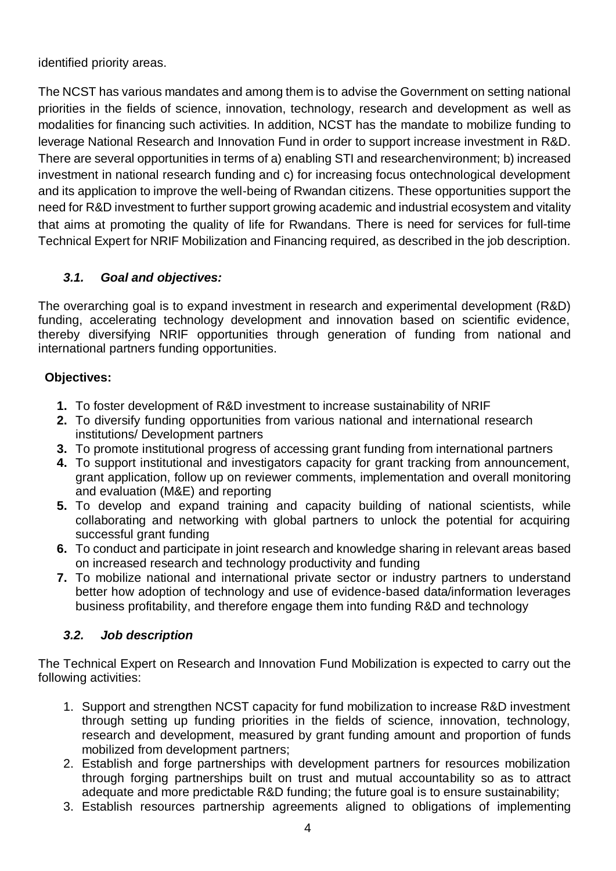identified priority areas.

The NCST has various mandates and among them is to advise the Government on setting national priorities in the fields of science, innovation, technology, research and development as well as modalities for financing such activities. In addition, NCST has the mandate to mobilize funding to leverage National Research and Innovation Fund in order to support increase investment in R&D. There are several opportunities in terms of a) enabling STI and researchenvironment; b) increased investment in national research funding and c) for increasing focus ontechnological development and its application to improve the well-being of Rwandan citizens. These opportunities support the need for R&D investment to further support growing academic and industrial ecosystem and vitality that aims at promoting the quality of life for Rwandans. There is need for services for full-time Technical Expert for NRIF Mobilization and Financing required, as described in the job description.

## *3.1. Goal and objectives:*

The overarching goal is to expand investment in research and experimental development (R&D) funding, accelerating technology development and innovation based on scientific evidence, thereby diversifying NRIF opportunities through generation of funding from national and international partners funding opportunities.

### **Objectives:**

- **1.** To foster development of R&D investment to increase sustainability of NRIF
- **2.** To diversify funding opportunities from various national and international research institutions/ Development partners
- **3.** To promote institutional progress of accessing grant funding from international partners
- **4.** To support institutional and investigators capacity for grant tracking from announcement, grant application, follow up on reviewer comments, implementation and overall monitoring and evaluation (M&E) and reporting
- **5.** To develop and expand training and capacity building of national scientists, while collaborating and networking with global partners to unlock the potential for acquiring successful grant funding
- **6.** To conduct and participate in joint research and knowledge sharing in relevant areas based on increased research and technology productivity and funding
- **7.** To mobilize national and international private sector or industry partners to understand better how adoption of technology and use of evidence-based data/information leverages business profitability, and therefore engage them into funding R&D and technology

## *3.2. Job description*

The Technical Expert on Research and Innovation Fund Mobilization is expected to carry out the following activities:

- 1. Support and strengthen NCST capacity for fund mobilization to increase R&D investment through setting up funding priorities in the fields of science, innovation, technology, research and development, measured by grant funding amount and proportion of funds mobilized from development partners;
- 2. Establish and forge partnerships with development partners for resources mobilization through forging partnerships built on trust and mutual accountability so as to attract adequate and more predictable R&D funding; the future goal is to ensure sustainability;
- 3. Establish resources partnership agreements aligned to obligations of implementing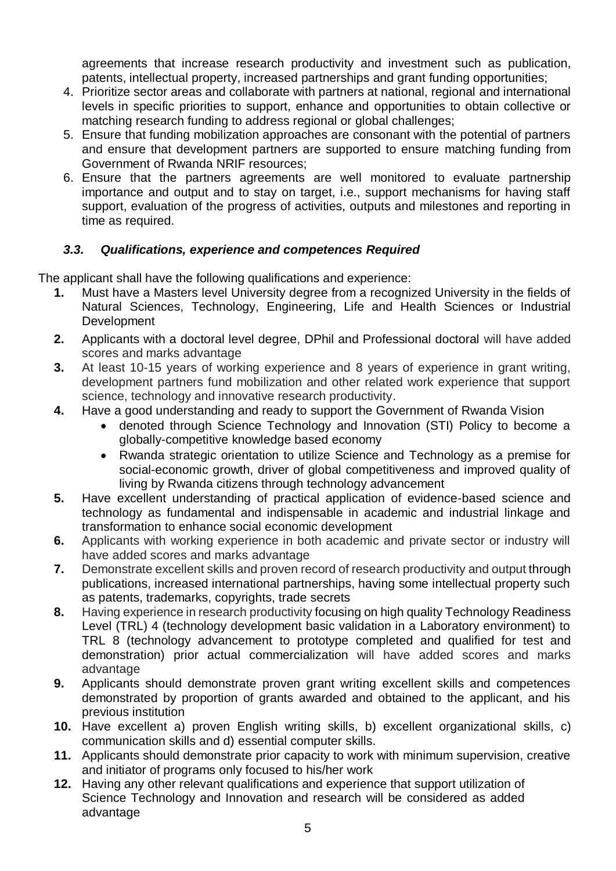agreements that increase research productivity and investment such as publication, patents, intellectual property, increased partnerships and grant funding opportunities;

- 4. Prioritize sector areas and collaborate with partners at national, regional and international levels in specific priorities to support, enhance and opportunities to obtain collective or matching research funding to address regional or global challenges:
- 5. Ensure that funding mobilization approaches are consonant with the potential of partners and ensure that development partners are supported to ensure matching funding from Government of Rwanda NRIF resources;
- 6. Ensure that the partners agreements are well monitored to evaluate partnership importance and output and to stay on target, i.e., support mechanisms for having staff support, evaluation of the progress of activities, outputs and milestones and reporting in time as required.

### *3.3. Qualifications, experience and competences Required*

The applicant shall have the following qualifications and experience:

- **1.** Must have a Masters level University degree from a recognized University in the fields of Natural Sciences, Technology, Engineering, Life and Health Sciences or Industrial **Development**
- **2.** Applicants with a doctoral level degree, DPhil and Professional doctoral will have added scores and marks advantage
- **3.** At least 10-15 years of working experience and 8 years of experience in grant writing, development partners fund mobilization and other related work experience that support science, technology and innovative research productivity.
- **4.** Have a good understanding and ready to support the Government of Rwanda Vision
	- denoted through Science Technology and Innovation (STI) Policy to become a globally-competitive knowledge based economy
	- Rwanda strategic orientation to utilize Science and Technology as a premise for social-economic growth, driver of global competitiveness and improved quality of living by Rwanda citizens through technology advancement
- **5.** Have excellent understanding of practical application of evidence-based science and technology as fundamental and indispensable in academic and industrial linkage and transformation to enhance social economic development
- **6.** Applicants with working experience in both academic and private sector or industry will have added scores and marks advantage
- **7.** Demonstrate excellent skills and proven record of research productivity and output through publications, increased international partnerships, having some intellectual property such as patents, trademarks, copyrights, trade secrets
- **8.** Having experience in research productivity focusing on high quality Technology Readiness Level (TRL) 4 (technology development basic validation in a Laboratory environment) to TRL 8 (technology advancement to prototype completed and qualified for test and demonstration) prior actual commercialization will have added scores and marks advantage
- **9.** Applicants should demonstrate proven grant writing excellent skills and competences demonstrated by proportion of grants awarded and obtained to the applicant, and his previous institution
- **10.** Have excellent a) proven English writing skills, b) excellent organizational skills, c) communication skills and d) essential computer skills.
- **11.** Applicants should demonstrate prior capacity to work with minimum supervision, creative and initiator of programs only focused to his/her work
- **12.** Having any other relevant qualifications and experience that support utilization of Science Technology and Innovation and research will be considered as added advantage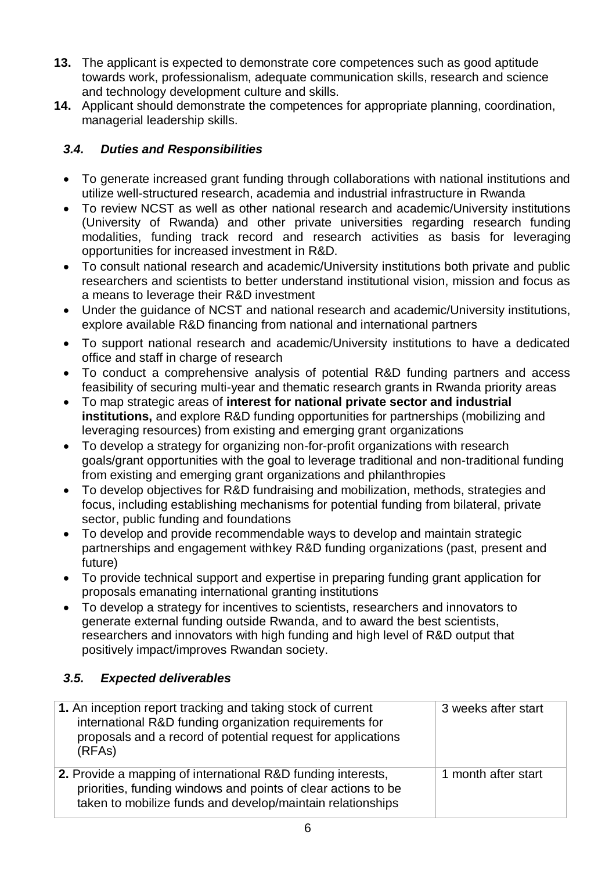- **13.** The applicant is expected to demonstrate core competences such as good aptitude towards work, professionalism, adequate communication skills, research and science and technology development culture and skills.
- **14.** Applicant should demonstrate the competences for appropriate planning, coordination, managerial leadership skills.

# *3.4. Duties and Responsibilities*

- To generate increased grant funding through collaborations with national institutions and utilize well-structured research, academia and industrial infrastructure in Rwanda
- To review NCST as well as other national research and academic/University institutions (University of Rwanda) and other private universities regarding research funding modalities, funding track record and research activities as basis for leveraging opportunities for increased investment in R&D.
- To consult national research and academic/University institutions both private and public researchers and scientists to better understand institutional vision, mission and focus as a means to leverage their R&D investment
- Under the guidance of NCST and national research and academic/University institutions, explore available R&D financing from national and international partners
- To support national research and academic/University institutions to have a dedicated office and staff in charge of research
- To conduct a comprehensive analysis of potential R&D funding partners and access feasibility of securing multi-year and thematic research grants in Rwanda priority areas
- To map strategic areas of **interest for national private sector and industrial institutions,** and explore R&D funding opportunities for partnerships (mobilizing and leveraging resources) from existing and emerging grant organizations
- To develop a strategy for organizing non-for-profit organizations with research goals/grant opportunities with the goal to leverage traditional and non-traditional funding from existing and emerging grant organizations and philanthropies
- To develop objectives for R&D fundraising and mobilization, methods, strategies and focus, including establishing mechanisms for potential funding from bilateral, private sector, public funding and foundations
- To develop and provide recommendable ways to develop and maintain strategic partnerships and engagement withkey R&D funding organizations (past, present and future)
- To provide technical support and expertise in preparing funding grant application for proposals emanating international granting institutions
- To develop a strategy for incentives to scientists, researchers and innovators to generate external funding outside Rwanda, and to award the best scientists, researchers and innovators with high funding and high level of R&D output that positively impact/improves Rwandan society.

# *3.5. Expected deliverables*

| 1. An inception report tracking and taking stock of current<br>international R&D funding organization requirements for<br>proposals and a record of potential request for applications<br>(RFAs) | 3 weeks after start |
|--------------------------------------------------------------------------------------------------------------------------------------------------------------------------------------------------|---------------------|
| 2. Provide a mapping of international R&D funding interests,<br>priorities, funding windows and points of clear actions to be<br>taken to mobilize funds and develop/maintain relationships      | 1 month after start |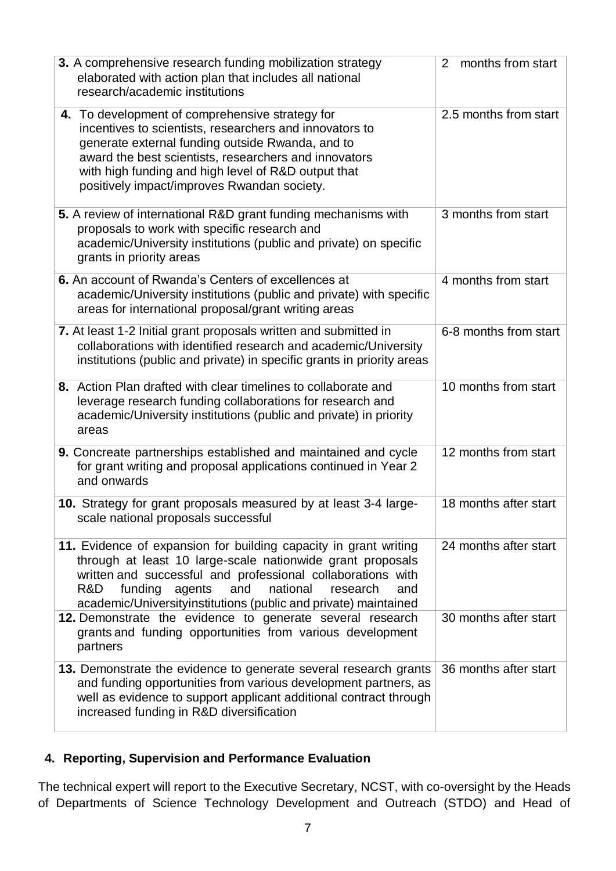| 3. A comprehensive research funding mobilization strategy<br>elaborated with action plan that includes all national<br>research/academic institutions                                                                                                                                                                              | months from start<br>2 |
|------------------------------------------------------------------------------------------------------------------------------------------------------------------------------------------------------------------------------------------------------------------------------------------------------------------------------------|------------------------|
| 4. To development of comprehensive strategy for<br>incentives to scientists, researchers and innovators to<br>generate external funding outside Rwanda, and to<br>award the best scientists, researchers and innovators<br>with high funding and high level of R&D output that<br>positively impact/improves Rwandan society.      | 2.5 months from start  |
| 5. A review of international R&D grant funding mechanisms with<br>proposals to work with specific research and<br>academic/University institutions (public and private) on specific<br>grants in priority areas                                                                                                                    | 3 months from start    |
| 6. An account of Rwanda's Centers of excellences at<br>academic/University institutions (public and private) with specific<br>areas for international proposal/grant writing areas                                                                                                                                                 | 4 months from start    |
| 7. At least 1-2 Initial grant proposals written and submitted in<br>collaborations with identified research and academic/University<br>institutions (public and private) in specific grants in priority areas                                                                                                                      | 6-8 months from start  |
| 8. Action Plan drafted with clear timelines to collaborate and<br>leverage research funding collaborations for research and<br>academic/University institutions (public and private) in priority<br>areas                                                                                                                          | 10 months from start   |
| 9. Concreate partnerships established and maintained and cycle<br>for grant writing and proposal applications continued in Year 2<br>and onwards                                                                                                                                                                                   | 12 months from start   |
| 10. Strategy for grant proposals measured by at least 3-4 large-<br>scale national proposals successful                                                                                                                                                                                                                            | 18 months after start  |
| 11. Evidence of expansion for building capacity in grant writing<br>through at least 10 large-scale nationwide grant proposals<br>written and successful and professional collaborations with<br>national<br>funding<br>agents<br>and<br>research<br>R&D<br>and<br>academic/Universityinstitutions (public and private) maintained | 24 months after start  |
| 12. Demonstrate the evidence to generate several research<br>grants and funding opportunities from various development<br>partners                                                                                                                                                                                                 | 30 months after start  |
| 13. Demonstrate the evidence to generate several research grants<br>and funding opportunities from various development partners, as<br>well as evidence to support applicant additional contract through<br>increased funding in R&D diversification                                                                               | 36 months after start  |

# **4. Reporting, Supervision and Performance Evaluation**

The technical expert will report to the Executive Secretary, NCST, with co-oversight by the Heads of Departments of Science Technology Development and Outreach (STDO) and Head of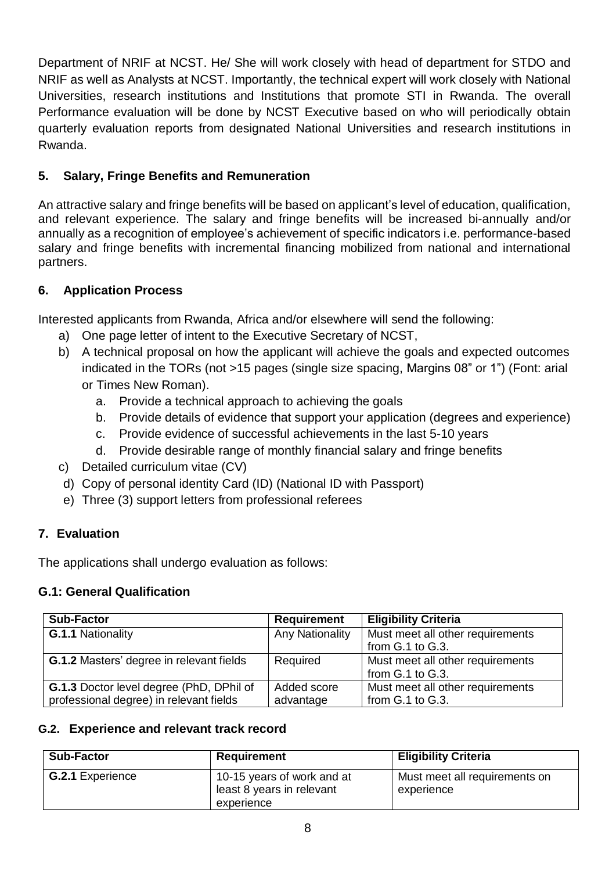Department of NRIF at NCST. He/ She will work closely with head of department for STDO and NRIF as well as Analysts at NCST. Importantly, the technical expert will work closely with National Universities, research institutions and Institutions that promote STI in Rwanda. The overall Performance evaluation will be done by NCST Executive based on who will periodically obtain quarterly evaluation reports from designated National Universities and research institutions in Rwanda.

### **5. Salary, Fringe Benefits and Remuneration**

An attractive salary and fringe benefits will be based on applicant's level of education, qualification, and relevant experience. The salary and fringe benefits will be increased bi-annually and/or annually as a recognition of employee's achievement of specific indicators i.e. performance-based salary and fringe benefits with incremental financing mobilized from national and international partners.

### **6. Application Process**

Interested applicants from Rwanda, Africa and/or elsewhere will send the following:

- a) One page letter of intent to the Executive Secretary of NCST,
- b) A technical proposal on how the applicant will achieve the goals and expected outcomes indicated in the TORs (not >15 pages (single size spacing, Margins 08" or 1") (Font: arial or Times New Roman).
	- a. Provide a technical approach to achieving the goals
	- b. Provide details of evidence that support your application (degrees and experience)
	- c. Provide evidence of successful achievements in the last 5-10 years
	- d. Provide desirable range of monthly financial salary and fringe benefits
- c) Detailed curriculum vitae (CV)
- d) Copy of personal identity Card (ID) (National ID with Passport)
- e) Three (3) support letters from professional referees

### **7. Evaluation**

The applications shall undergo evaluation as follows:

### **G.1: General Qualification**

| <b>Sub-Factor</b>                               | <b>Requirement</b>     | <b>Eligibility Criteria</b>      |
|-------------------------------------------------|------------------------|----------------------------------|
| G.1.1 Nationality                               | <b>Any Nationality</b> | Must meet all other requirements |
|                                                 |                        | from G.1 to G.3.                 |
| <b>G.1.2 Masters' degree in relevant fields</b> | Required               | Must meet all other requirements |
|                                                 |                        | from G.1 to G.3.                 |
| G.1.3 Doctor level degree (PhD, DPhil of        | Added score            | Must meet all other requirements |
| professional degree) in relevant fields         | advantage              | from G.1 to G.3.                 |

### **G.2. Experience and relevant track record**

| <b>Sub-Factor</b>       | Requirement                                                           | <b>Eligibility Criteria</b>                 |
|-------------------------|-----------------------------------------------------------------------|---------------------------------------------|
| <b>G.2.1 Experience</b> | 10-15 years of work and at<br>least 8 years in relevant<br>experience | Must meet all requirements on<br>experience |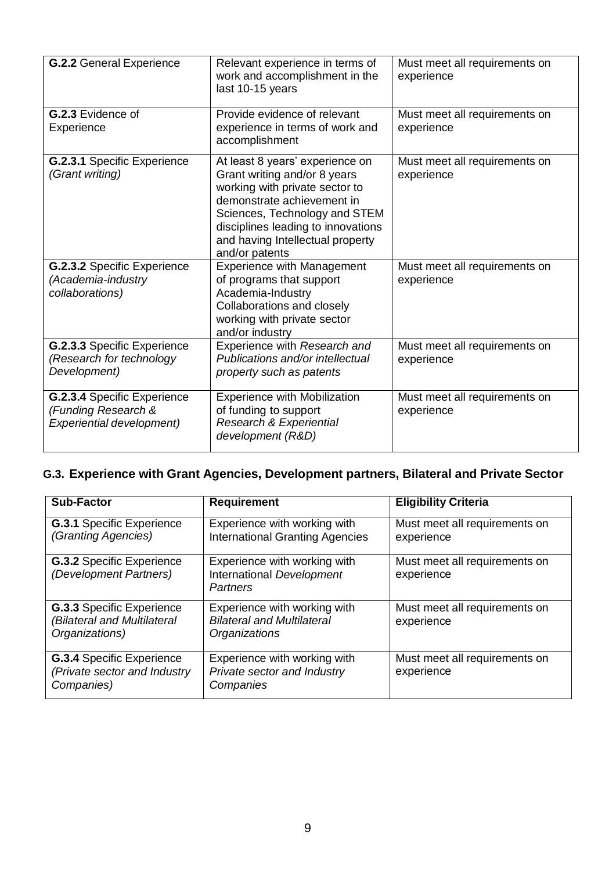| <b>G.2.2 General Experience</b>                                                 | Relevant experience in terms of<br>work and accomplishment in the<br>last 10-15 years                                                                                                                                                                        | Must meet all requirements on<br>experience |  |
|---------------------------------------------------------------------------------|--------------------------------------------------------------------------------------------------------------------------------------------------------------------------------------------------------------------------------------------------------------|---------------------------------------------|--|
| G.2.3 Evidence of<br>Experience                                                 | Provide evidence of relevant<br>experience in terms of work and<br>accomplishment                                                                                                                                                                            | Must meet all requirements on<br>experience |  |
| G.2.3.1 Specific Experience<br>(Grant writing)                                  | At least 8 years' experience on<br>Grant writing and/or 8 years<br>working with private sector to<br>demonstrate achievement in<br>Sciences, Technology and STEM<br>disciplines leading to innovations<br>and having Intellectual property<br>and/or patents | Must meet all requirements on<br>experience |  |
| G.2.3.2 Specific Experience<br>(Academia-industry<br>collaborations)            | <b>Experience with Management</b><br>of programs that support<br>Academia-Industry<br>Collaborations and closely<br>working with private sector<br>and/or industry                                                                                           | Must meet all requirements on<br>experience |  |
| G.2.3.3 Specific Experience<br>(Research for technology<br>Development)         | Experience with Research and<br>Publications and/or intellectual<br>property such as patents                                                                                                                                                                 | Must meet all requirements on<br>experience |  |
| G.2.3.4 Specific Experience<br>(Funding Research &<br>Experiential development) | <b>Experience with Mobilization</b><br>of funding to support<br>Research & Experiential<br>development (R&D)                                                                                                                                                 | Must meet all requirements on<br>experience |  |

# **G.3. Experience with Grant Agencies, Development partners, Bilateral and Private Sector**

| <b>Sub-Factor</b>                                                                 | <b>Requirement</b>                                                                 | <b>Eligibility Criteria</b>                 |
|-----------------------------------------------------------------------------------|------------------------------------------------------------------------------------|---------------------------------------------|
| <b>G.3.1 Specific Experience</b><br>(Granting Agencies)                           | Experience with working with<br><b>International Granting Agencies</b>             | Must meet all requirements on<br>experience |
| <b>G.3.2 Specific Experience</b><br>(Development Partners)                        | Experience with working with<br>International Development<br><b>Partners</b>       | Must meet all requirements on<br>experience |
| <b>G.3.3 Specific Experience</b><br>(Bilateral and Multilateral<br>Organizations) | Experience with working with<br><b>Bilateral and Multilateral</b><br>Organizations | Must meet all requirements on<br>experience |
| <b>G.3.4 Specific Experience</b><br>(Private sector and Industry<br>Companies)    | Experience with working with<br>Private sector and Industry<br>Companies           | Must meet all requirements on<br>experience |